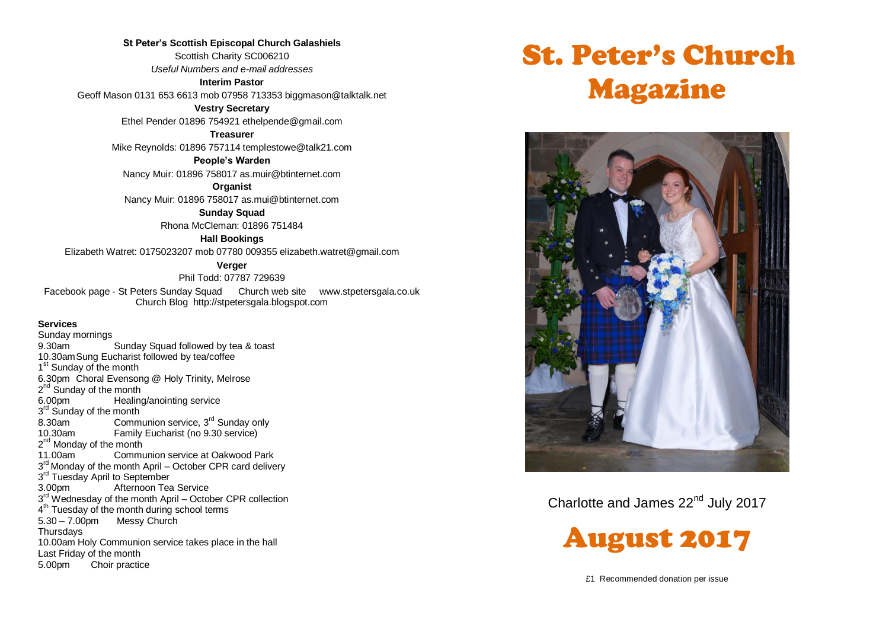**St Peter's Scottish Episcopal Church Galashiels** Scottish Charity SC006210 *Useful Numbers and e-mail addresses* **Interim Pastor**

Geoff Mason 0131 653 6613 mob 07958 713353 biggmason@talktalk.net

**Vestry Secretary**

Ethel Pender 01896 754921 ethelpende@gmail.com

**Treasurer**

Mike Reynolds: 01896 757114 templestowe@talk21.com

**People's Warden**

Nancy Muir: 01896 758017 as.muir@btinternet.com

**Organist**

Nancy Muir: 01896 758017 as.mui@btinternet.com

**Sunday Squad** Rhona McCleman: 01896 751484

**Hall Bookings**

Elizabeth Watret: 0175023207 mob 07780 009355 elizabeth.watret@gmail.com

**Verger**

Phil Todd: 07787 729639

Facebook page - St Peters Sunday Squad Church web site www.stpetersgala.co.uk Church Blog [http://stpetersgala.blogspot.com](http://stpetersgala.blogspot.com/)

#### **Services**

Sunday mornings 9.30am Sunday Squad followed by tea & toast 10.30amSung Eucharist followed by tea/coffee 1<sup>st</sup> Sunday of the month 6.30pm Choral Evensong @ Holy Trinity, Melrose 2<sup>nd</sup> Sunday of the month 6.00pm Healing/anointing service 3<sup>rd</sup> Sunday of the month 8.30am Communion service,  $3^{rd}$  Sunday only<br>10.30am Eamily Fucharist (no 9.30 service) Family Eucharist (no 9.30 service) 2<sup>nd</sup> Monday of the month 11.00am Communion service at Oakwood Park 3<sup>rd</sup> Monday of the month April – October CPR card delivery 3<sup>rd</sup> Tuesday April to September 3.00pm Afternoon Tea Service 3<sup>rd</sup> Wednesday of the month April – October CPR collection 4<sup>th</sup> Tuesday of the month during school terms 5.30 – 7.00pm Messy Church **Thursdays** 10.00am Holy Communion service takes place in the hall Last Friday of the month 5.00pm Choir practice

# St. Peter's Church Magazine



Charlotte and James 22<sup>nd</sup> July 2017



£1 Recommended donation per issue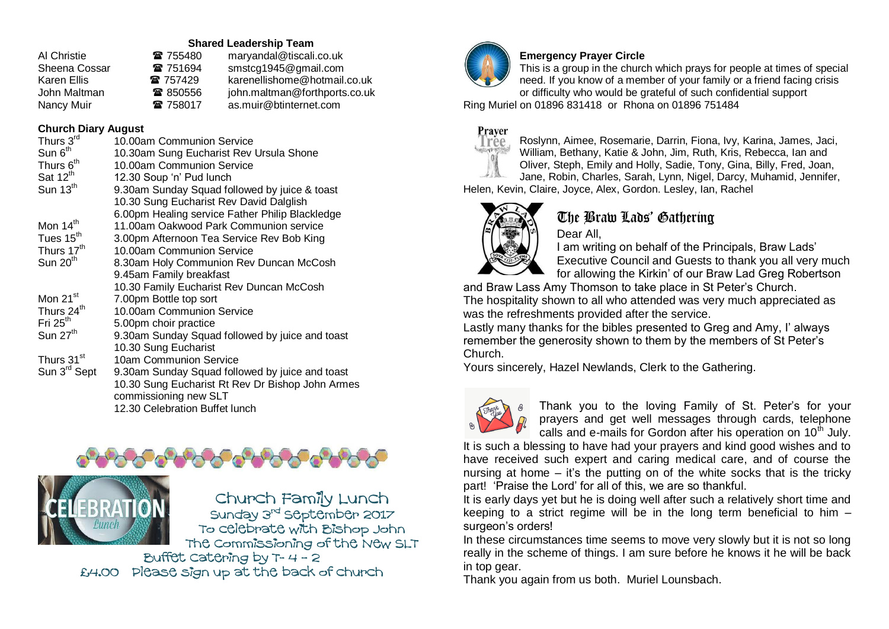#### **Shared Leadership Team**

| Al Christie   | ☎ 755480 | maryandal@tiscali.co.uk       |
|---------------|----------|-------------------------------|
| Sheena Cossar | ☎ 751694 | smstcg1945@gmail.com          |
| Karen Ellis   | 雷 757429 | karenellishome@hotmail.co.uk  |
| John Maltman  | ☎ 850556 | john.maltman@forthports.co.uk |
| Nancy Muir    | 雷 758017 | as.muir@btinternet.com        |

## **Church Diary August**

| Thurs 3rd                | 10.00am Communion Service                        |
|--------------------------|--------------------------------------------------|
| Sun 6 <sup>th</sup>      |                                                  |
|                          | 10.30am Sung Eucharist Rev Ursula Shone          |
| Thurs 6 <sup>th</sup>    | 10.00am Communion Service                        |
| Sat $12^{th}$            | 12.30 Soup 'n' Pud lunch                         |
| Sun $13th$               | 9.30am Sunday Squad followed by juice & toast    |
|                          | 10.30 Sung Eucharist Rev David Dalglish          |
|                          | 6.00pm Healing service Father Philip Blackledge  |
| Mon 14 <sup>th</sup>     | 11.00am Oakwood Park Communion service           |
| Tues 15 <sup>th</sup>    | 3.00pm Afternoon Tea Service Rev Bob King        |
| Thurs 17 <sup>th</sup>   | 10.00am Communion Service                        |
| Sun 20 <sup>th</sup>     | 8.30am Holy Communion Rev Duncan McCosh          |
|                          | 9.45am Family breakfast                          |
|                          | 10.30 Family Eucharist Rev Duncan McCosh         |
| Mon 21 <sup>st</sup>     | 7.00pm Bottle top sort                           |
| Thurs 24 <sup>th</sup>   | 10.00am Communion Service                        |
| Fri $25th$               | 5.00pm choir practice                            |
| Sun 27 <sup>th</sup>     | 9.30am Sunday Squad followed by juice and toast  |
|                          | 10.30 Sung Eucharist                             |
| Thurs 31 <sup>st</sup>   | 10am Communion Service                           |
| Sun 3 <sup>rd</sup> Sept | 9.30am Sunday Squad followed by juice and toast  |
|                          | 10.30 Sung Eucharist Rt Rev Dr Bishop John Armes |
|                          | commissioning new SLT                            |
|                          | 12.30 Celebration Buffet lunch                   |
|                          |                                                  |





Church Family Lunch Sunday 3<sup>rd</sup> September 2017 To celebrate with Bishop John The Commissioning of the New SLT Buffet catering by  $T - 4 - 2$ 

£4.00 Please sign up at the back of church



## **Emergency Prayer Circle**

This is a group in the church which prays for people at times of special need. If you know of a member of your family or a friend facing crisis or difficulty who would be grateful of such confidential support

Ring Muriel on 01896 831418 or Rhona on 01896 751484



Roslynn, Aimee, Rosemarie, Darrin, Fiona, Ivy, Karina, James, Jaci, William, Bethany, Katie & John, Jim, Ruth, Kris, Rebecca, Ian and Oliver, Steph, Emily and Holly, Sadie, Tony, Gina, Billy, Fred, Joan, Jane, Robin, Charles, Sarah, Lynn, Nigel, Darcy, Muhamid, Jennifer,

Helen, Kevin, Claire, Joyce, Alex, Gordon. Lesley, Ian, Rachel



# The Braw Lads' Gathering

Dear All, I am writing on behalf of the Principals, Braw Lads' Executive Council and Guests to thank you all very much for allowing the Kirkin' of our Braw Lad Greg Robertson

and Braw Lass Amy Thomson to take place in St Peter's Church. The hospitality shown to all who attended was very much appreciated as was the refreshments provided after the service.

Lastly many thanks for the bibles presented to Greg and Amy, I' always remember the generosity shown to them by the members of St Peter's Church.

Yours sincerely, Hazel Newlands, Clerk to the Gathering.



Thank you to the loving Family of St. Peter's for your prayers and get well messages through cards, telephone calls and e-mails for Gordon after his operation on  $10<sup>th</sup>$  July.

It is such a blessing to have had your prayers and kind good wishes and to have received such expert and caring medical care, and of course the nursing at home  $-$  it's the putting on of the white socks that is the tricky part! 'Praise the Lord' for all of this, we are so thankful.

It is early days yet but he is doing well after such a relatively short time and keeping to a strict regime will be in the long term beneficial to him – surgeon's orders!

In these circumstances time seems to move very slowly but it is not so long really in the scheme of things. I am sure before he knows it he will be back in top gear.

Thank you again from us both. Muriel Lounsbach.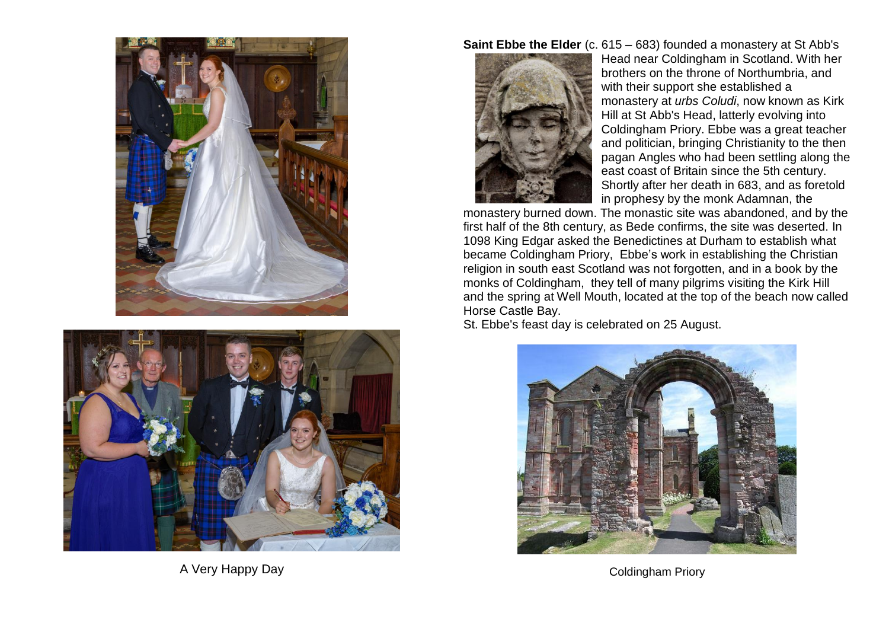



A Very Happy Day

**Saint Ebbe the Elder** (c. 615 – 683) founded a monastery at St Abb's



[Head](https://en.wikipedia.org/wiki/St_Abb%27s_Head) near [Coldingham](https://en.wikipedia.org/wiki/Coldingham) in [Scotland.](https://en.wikipedia.org/wiki/Scotland) With her brothers on the throne of [Northumbria,](https://en.wikipedia.org/wiki/Northumbria) and with their support she established a monastery at *urbs Coludi*, now known as Kirk Hill at [St Abb's Head,](https://en.wikipedia.org/wiki/St_Abb%27s_Head) latterly evolving into [Coldingham](https://en.wikipedia.org/wiki/Coldingham_Priory) Priory. Ebbe was a great teacher and politician, bringing Christianity to the then pagan Angles who had been settling along the east coast of Britain since the 5th century. Shortly after her death in 683, and as foretold in prophesy by the monk Adamnan, the

monastery burned down. The monastic site was abandoned, and by the first half of the 8th century, as [Bede](https://en.wikipedia.org/wiki/Bede) confirms, the site was deserted. In 1098 [King Edgar](http://www.undiscoveredscotland.co.uk/usbiography/monarchs/edgar.html) asked the Benedictines at Durham to establish what became [Coldingham Priory,](http://www.undiscoveredscotland.co.uk/coldingham/coldinghampriory/index.html) Ebbe's work in establishing the Christian religion in south east Scotland was not forgotten, and in a book by the monks of Coldingham, they tell of many pilgrims visiting the Kirk Hill and the spring at Well Mouth, located at the top of the beach now called Horse Castle Bay.

St. Ebbe's feast day is celebrated on 25 August.



Coldingham Priory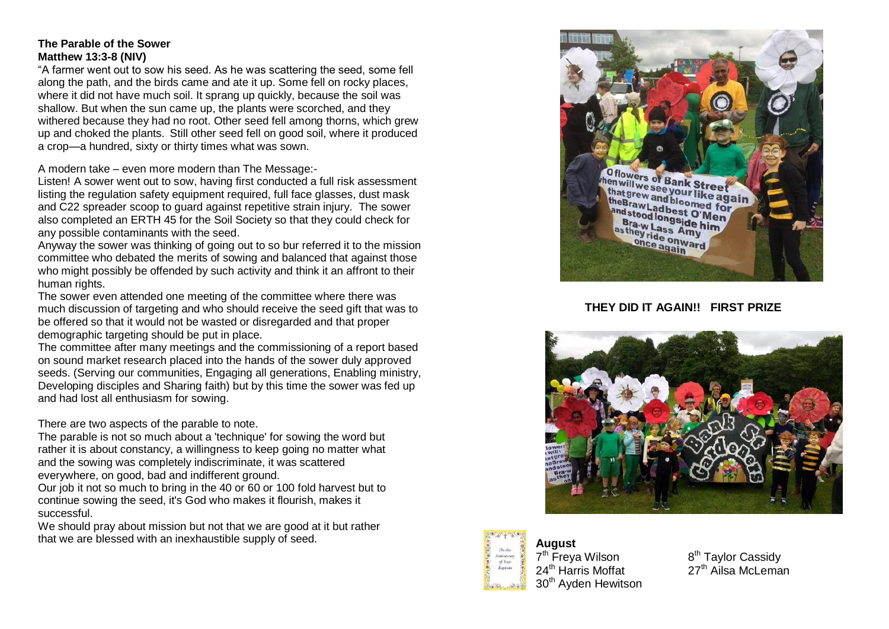#### **The Parable of the Sower Matthew 13:3-8 (NIV)**

"A farmer went out to sow his seed. As he was scattering the seed, some fell along the path, and the birds came and ate it up. Some fell on rocky places, where it did not have much soil. It sprang up quickly, because the soil was shallow. But when the sun came up, the plants were scorched, and they withered because they had no root. Other seed fell among thorns, which grew up and choked the plants. Still other seed fell on good soil, where it produced a crop—a hundred, sixty or thirty times what was sown.

A modern take – even more modern than The Message:-

Listen! A sower went out to sow, having first conducted a full risk assessment listing the regulation safety equipment required, full face glasses, dust mask and C22 spreader scoop to guard against repetitive strain injury. The sower also completed an ERTH 45 for the Soil Society so that they could check for any possible contaminants with the seed.

Anyway the sower was thinking of going out to so bur referred it to the mission committee who debated the merits of sowing and balanced that against those who might possibly be offended by such activity and think it an affront to their human rights.

The sower even attended one meeting of the committee where there was much discussion of targeting and who should receive the seed gift that was to be offered so that it would not be wasted or disregarded and that proper demographic targeting should be put in place.

The committee after many meetings and the commissioning of a report based on sound market research placed into the hands of the sower duly approved seeds. (Serving our communities, Engaging all generations, Enabling ministry, Developing disciples and Sharing faith) but by this time the sower was fed up and had lost all enthusiasm for sowing.

There are two aspects of the parable to note.

The parable is not so much about a 'technique' for sowing the word but rather it is about constancy, a willingness to keep going no matter what and the sowing was completely indiscriminate, it was scattered everywhere, on good, bad and indifferent ground.

Our job it not so much to bring in the 40 or 60 or 100 fold harvest but to continue sowing the seed, it's God who makes it flourish, makes it successful.

We should pray about mission but not that we are good at it but rather that we are blessed with an inexhaustible supply of seed.



#### **THEY DID IT AGAIN!! FIRST PRIZE**





**August** 7<sup>th</sup> Freya Wilson 8 30<sup>th</sup> Ayden Hewitson

8<sup>th</sup> Taylor Cassidy  $24<sup>th</sup>$  Harris Moffat 27<sup>th</sup> Ailsa McLeman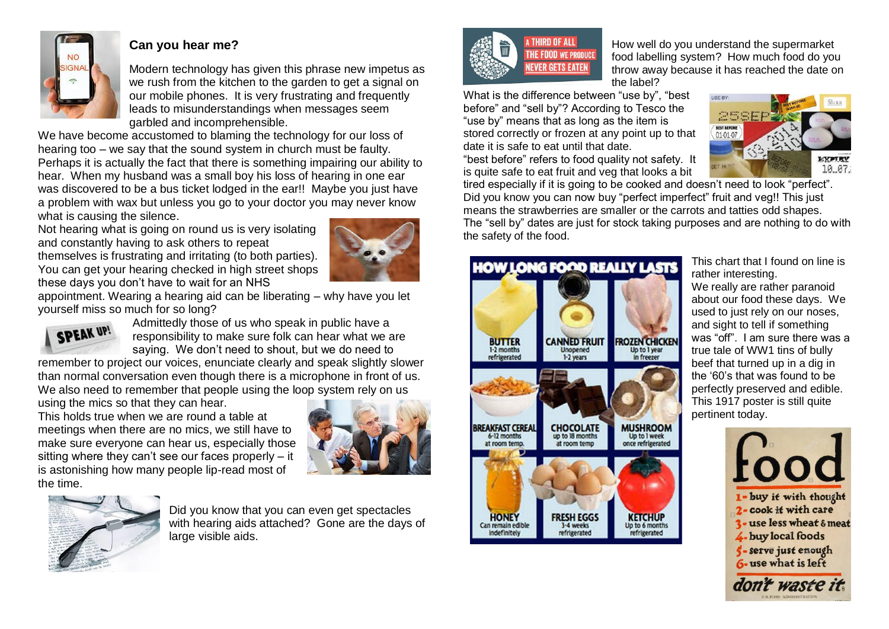

## **Can you hear me?**

Modern technology has given this phrase new impetus as we rush from the kitchen to the garden to get a signal on our mobile phones. It is very frustrating and frequently leads to misunderstandings when messages seem garbled and incomprehensible.

We have become accustomed to blaming the technology for our loss of hearing too – we say that the sound system in church must be faulty. Perhaps it is actually the fact that there is something impairing our ability to hear. When my husband was a small boy his loss of hearing in one ear was discovered to be a bus ticket lodged in the ear!! Maybe you just have a problem with wax but unless you go to your doctor you may never know what is causing the silence.

Not hearing what is going on round us is very isolating and constantly having to ask others to repeat themselves is frustrating and irritating (to both parties). You can get your hearing checked in high street shops these days you don't have to wait for an NHS



appointment. Wearing a hearing aid can be liberating – why have you let yourself miss so much for so long?



Admittedly those of us who speak in public have a responsibility to make sure folk can hear what we are saying. We don't need to shout, but we do need to

remember to project our voices, enunciate clearly and speak slightly slower than normal conversation even though there is a microphone in front of us. We also need to remember that people using the loop system rely on us

using the mics so that they can hear.

This holds true when we are round a table at meetings when there are no mics, we still have to make sure everyone can hear us, especially those sitting where they can't see our faces properly – it is astonishing how many people lip-read most of the time.





Did you know that you can even get spectacles with hearing aids attached? Gone are the days of large visible aids.



How well do you understand the supermarket food labelling system? How much food do you throw away because it has reached the date on the label?

What is the difference between "use by", "best before" and "sell by"? According to Tesco the "use by" means that as long as the item is stored correctly or frozen at any point up to that date it is safe to eat until that date.

"best before" refers to food quality not safety. It is quite safe to eat fruit and veg that looks a bit



tired especially if it is going to be cooked and doesn't need to look "perfect". Did you know you can now buy "perfect imperfect" fruit and veg!! This just means the strawberries are smaller or the carrots and tatties odd shapes. The "sell by" dates are just for stock taking purposes and are nothing to do with the safety of the food.



This chart that I found on line is rather interesting. We really are rather paranoid about our food these days. We used to just rely on our noses, and sight to tell if something was "off". I am sure there was a true tale of WW1 tins of bully beef that turned up in a dig in the '60's that was found to be perfectly preserved and edible. This 1917 poster is still quite pertinent today.